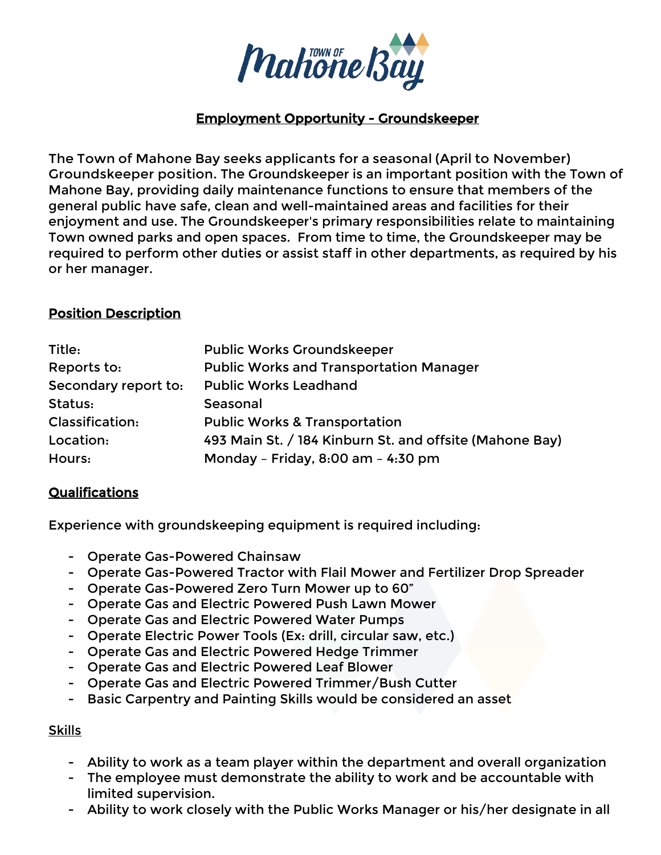

### Employment Opportunity - Groundskeeper

The Town of Mahone Bay seeks applicants for a seasonal (April to November) Groundskeeper position. The Groundskeeper is an important position with the Town of Mahone Bay, providing daily maintenance functions to ensure that members of the general public have safe, clean and well-maintained areas and facilities for their enjoyment and use. The Groundskeeper's primary responsibilities relate to maintaining Town owned parks and open spaces. From time to time, the Groundskeeper may be required to perform other duties or assist staff in other departments, as required by his or her manager.

### Position Description

| Title:               | <b>Public Works Groundskeeper</b>                       |
|----------------------|---------------------------------------------------------|
| Reports to:          | <b>Public Works and Transportation Manager</b>          |
| Secondary report to: | <b>Public Works Leadhand</b>                            |
| Status:              | Seasonal                                                |
| Classification:      | <b>Public Works &amp; Transportation</b>                |
| Location:            | 493 Main St. / 184 Kinburn St. and offsite (Mahone Bay) |
| Hours:               | Monday - Friday, 8:00 am - 4:30 pm                      |

## Qualifications

Experience with groundskeeping equipment is required including:

- Operate Gas-Powered Chainsaw
- Operate Gas-Powered Tractor with Flail Mower and Fertilizer Drop Spreader
- Operate Gas-Powered Zero Turn Mower up to 60"
- Operate Gas and Electric Powered Push Lawn Mower
- Operate Gas and Electric Powered Water Pumps
- Operate Electric Power Tools (Ex: drill, circular saw, etc.)
- Operate Gas and Electric Powered Hedge Trimmer
- Operate Gas and Electric Powered Leaf Blower
- Operate Gas and Electric Powered Trimmer/Bush Cutter
- Basic Carpentry and Painting Skills would be considered an asset

#### Skills

- Ability to work as a team player within the department and overall organization
- The employee must demonstrate the ability to work and be accountable with limited supervision.
- Ability to work closely with the Public Works Manager or his/her designate in all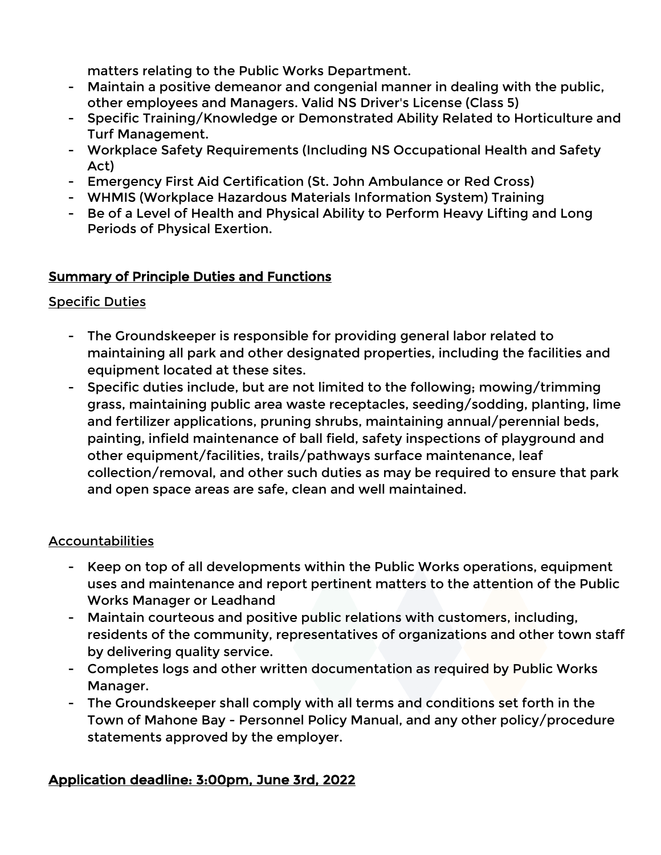matters relating to the Public Works Department.

- Maintain a positive demeanor and congenial manner in dealing with the public, other employees and Managers. Valid NS Driver's License (Class 5)
- Specific Training/Knowledge or Demonstrated Ability Related to Horticulture and Turf Management.
- Workplace Safety Requirements (Including NS Occupational Health and Safety Act)
- Emergency First Aid Certification (St. John Ambulance or Red Cross)
- WHMIS (Workplace Hazardous Materials Information System) Training
- Be of a Level of Health and Physical Ability to Perform Heavy Lifting and Long Periods of Physical Exertion.

## Summary of Principle Duties and Functions

### Specific Duties

- The Groundskeeper is responsible for providing general labor related to maintaining all park and other designated properties, including the facilities and equipment located at these sites.
- Specific duties include, but are not limited to the following; mowing/trimming grass, maintaining public area waste receptacles, seeding/sodding, planting, lime and fertilizer applications, pruning shrubs, maintaining annual/perennial beds, painting, infield maintenance of ball field, safety inspections of playground and other equipment/facilities, trails/pathways surface maintenance, leaf collection/removal, and other such duties as may be required to ensure that park and open space areas are safe, clean and well maintained.

## Accountabilities

- Keep on top of all developments within the Public Works operations, equipment uses and maintenance and report pertinent matters to the attention of the Public Works Manager or Leadhand
- Maintain courteous and positive public relations with customers, including, residents of the community, representatives of organizations and other town staff by delivering quality service.
- Completes logs and other written documentation as required by Public Works Manager.
- The Groundskeeper shall comply with all terms and conditions set forth in the Town of Mahone Bay - Personnel Policy Manual, and any other policy/procedure statements approved by the employer.

# Application deadline: 3:00pm, June 3rd, 2022